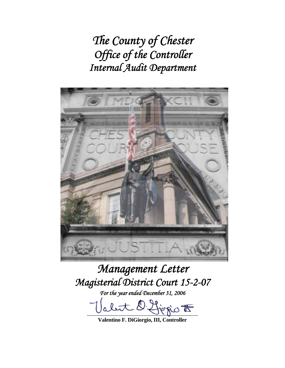*The County of Chester Office of the Controller Internal Audit Department* 



# *Management Letter Magisterial District Court 15-2-07*

*For the year ended December 31, 2006* 

let l'Horio  $t$ 

**Valentino F. DiGiorgio, III, Controller**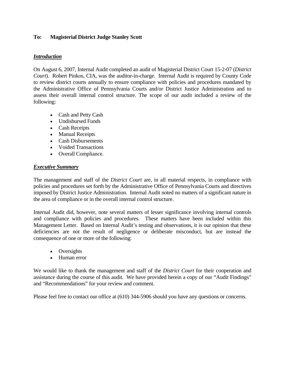## **To: Magisterial District Judge Stanley Scott**

#### *Introduction*

On August 6, 2007, Internal Audit completed an audit of Magisterial District Court 15-2-07 (*District Court*). Robert Pinkos, CIA, was the auditor-in-charge. Internal Audit is required by County Code to review district courts annually to ensure compliance with policies and procedures mandated by the Administrative Office of Pennsylvania Courts and/or District Justice Administration and to assess their overall internal control structure. The scope of our audit included a review of the following:

- Cash and Petty Cash
- Undisbursed Funds
- Cash Receipts
- Manual Receipts
- Cash Disbursements
- Voided Transactions
- Overall Compliance.

## *Executive Summary*

The management and staff of the *District Court* are, in all material respects, in compliance with policies and procedures set forth by the Administrative Office of Pennsylvania Courts and directives imposed by District Justice Administration. Internal Audit noted no matters of a significant nature in the area of compliance or in the overall internal control structure.

Internal Audit did, however, note several matters of lesser significance involving internal controls and compliance with policies and procedures. These matters have been included within this Management Letter. Based on Internal Audit's testing and observations, it is our opinion that these deficiencies are not the result of negligence or deliberate misconduct, but are instead the consequence of one or more of the following:

- Oversights
- Human error

We would like to thank the management and staff of the *District Court* for their cooperation and assistance during the course of this audit. We have provided herein a copy of our "Audit Findings" and "Recommendations" for your review and comment.

Please feel free to contact our office at (610) 344-5906 should you have any questions or concerns.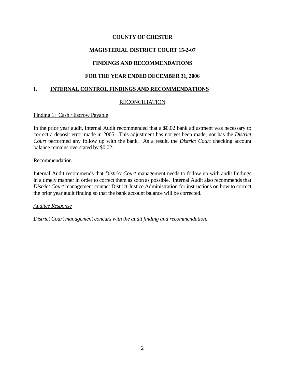# **MAGISTERIAL DISTRICT COURT 15-2-07**

# **FINDINGS AND RECOMMENDATIONS**

## **FOR THE YEAR ENDED DECEMBER 31, 2006**

## **I. INTERNAL CONTROL FINDINGS AND RECOMMENDATIONS**

## RECONCILIATION

#### Finding 1: Cash / Escrow Payable

In the prior year audit, Internal Audit recommended that a \$0.02 bank adjustment was necessary to correct a deposit error made in 2005. This adjustment has not yet been made, nor has the *District Court* performed any follow up with the bank. As a result, the *District Court* checking account balance remains overstated by \$0.02.

#### Recommendation

Internal Audit recommends that *District Court* management needs to follow up with audit findings in a timely manner in order to correct them as soon as possible. Internal Audit also recommends that *District Court* management contact District Justice Administration for instructions on how to correct the prior year audit finding so that the bank account balance will be corrected.

#### *Auditee Response*

*District Court management concurs with the audit finding and recommendation.*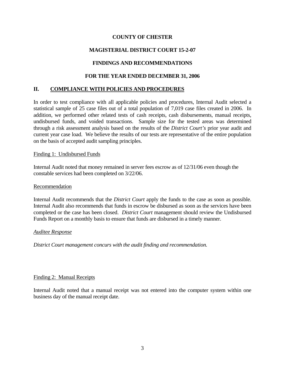# **MAGISTERIAL DISTRICT COURT 15-2-07**

# **FINDINGS AND RECOMMENDATIONS**

## **FOR THE YEAR ENDED DECEMBER 31, 2006**

## **II. COMPLIANCE WITH POLICIES AND PROCEDURES**

In order to test compliance with all applicable policies and procedures, Internal Audit selected a statistical sample of 25 case files out of a total population of 7,019 case files created in 2006. In addition, we performed other related tests of cash receipts, cash disbursements, manual receipts, undisbursed funds, and voided transactions. Sample size for the tested areas was determined through a risk assessment analysis based on the results of the *District Court's* prior year audit and current year case load. We believe the results of our tests are representative of the entire population on the basis of accepted audit sampling principles.

#### Finding 1: Undisbursed Funds

Internal Audit noted that money remained in server fees escrow as of 12/31/06 even though the constable services had been completed on 3/22/06.

#### Recommendation

Internal Audit recommends that the *District Court* apply the funds to the case as soon as possible. Internal Audit also recommends that funds in escrow be disbursed as soon as the services have been completed or the case has been closed. *District Court* management should review the Undisbursed Funds Report on a monthly basis to ensure that funds are disbursed in a timely manner.

#### *Auditee Response*

*District Court management concurs with the audit finding and recommendation.*

#### Finding 2: Manual Receipts

Internal Audit noted that a manual receipt was not entered into the computer system within one business day of the manual receipt date.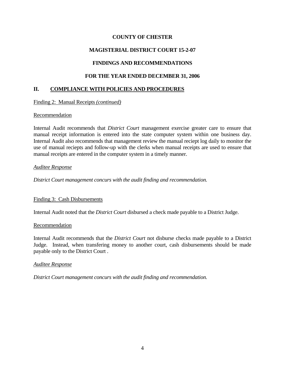## **MAGISTERIAL DISTRICT COURT 15-2-07**

# **FINDINGS AND RECOMMENDATIONS**

## **FOR THE YEAR ENDED DECEMBER 31, 2006**

## **II. COMPLIANCE WITH POLICIES AND PROCEDURES**

#### Finding 2: Manual Receipts *(continued)*

#### Recommendation

Internal Audit recommends that *District Court* management exercise greater care to ensure that manual receipt information is entered into the state computer system within one business day. Internal Audit also recommends that management review the manual reciept log daily to monitor the use of manual reciepts and follow-up with the clerks when manual receipts are used to ensure that manual receipts are entered in the computer system in a timely manner.

#### *Auditee Response*

*District Court management concurs with the audit finding and recommendation.* 

#### Finding 3: Cash Disbursements

Internal Audit noted that the *District Court* disbursed a check made payable to a District Judge.

#### Recommendation

Internal Audit recommends that the *District Court* not disburse checks made payable to a District Judge. Instead, when transfering money to another court, cash disbursements should be made payable only to the District Court .

#### *Auditee Response*

*District Court management concurs with the audit finding and recommendation.*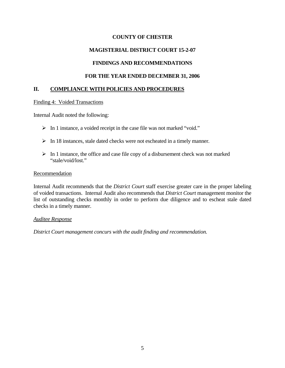# **MAGISTERIAL DISTRICT COURT 15-2-07**

# **FINDINGS AND RECOMMENDATIONS**

## **FOR THE YEAR ENDED DECEMBER 31, 2006**

## **II. COMPLIANCE WITH POLICIES AND PROCEDURES**

#### Finding 4: Voided Transactions

Internal Audit noted the following:

- $\triangleright$  In 1 instance, a voided receipt in the case file was not marked "void."
- $\triangleright$  In 18 instances, stale dated checks were not escheated in a timely manner.
- $\triangleright$  In 1 instance, the office and case file copy of a disbursement check was not marked "stale/void/lost."

#### Recommendation

Internal Audit recommends that the *District Court* staff exercise greater care in the proper labeling of voided transactions. Internal Audit also recommends that *District Court* management monitor the list of outstanding checks monthly in order to perform due diligence and to escheat stale dated checks in a timely manner.

#### *Auditee Response*

*District Court management concurs with the audit finding and recommendation.*